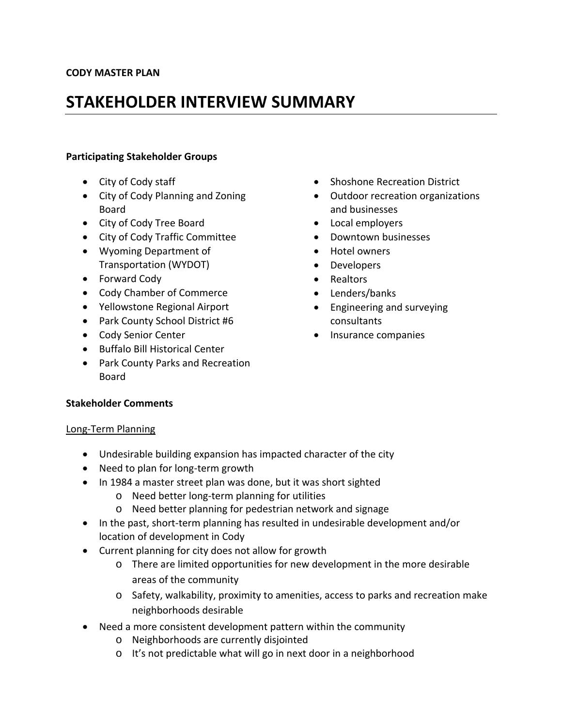# **STAKEHOLDER INTERVIEW SUMMARY**

## **Participating Stakeholder Groups**

- City of Cody staff
- City of Cody Planning and Zoning Board
- City of Cody Tree Board
- City of Cody Traffic Committee
- Wyoming Department of Transportation (WYDOT)
- Forward Cody
- Cody Chamber of Commerce
- Yellowstone Regional Airport
- Park County School District #6
- Cody Senior Center
- Buffalo Bill Historical Center
- Park County Parks and Recreation Board

# • Shoshone Recreation District

- Outdoor recreation organizations and businesses
- Local employers
- Downtown businesses
- Hotel owners
- Developers
- Realtors
- Lenders/banks
- Engineering and surveying consultants
- Insurance companies

# **Stakeholder Comments**

#### Long‐Term Planning

- Undesirable building expansion has impacted character of the city
- Need to plan for long‐term growth
- In 1984 a master street plan was done, but it was short sighted
	- o Need better long‐term planning for utilities
	- o Need better planning for pedestrian network and signage
- In the past, short-term planning has resulted in undesirable development and/or location of development in Cody
- Current planning for city does not allow for growth
	- o There are limited opportunities for new development in the more desirable areas of the community
	- o Safety, walkability, proximity to amenities, access to parks and recreation make neighborhoods desirable
- Need a more consistent development pattern within the community
	- o Neighborhoods are currently disjointed
	- o It's not predictable what will go in next door in a neighborhood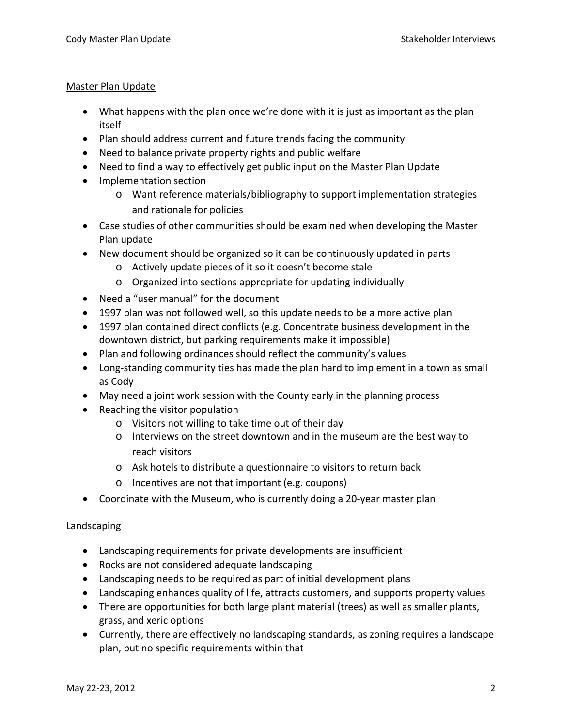#### Master Plan Update

- What happens with the plan once we're done with it is just as important as the plan itself
- Plan should address current and future trends facing the community
- Need to balance private property rights and public welfare
- Need to find a way to effectively get public input on the Master Plan Update
- Implementation section
	- o Want reference materials/bibliography to support implementation strategies and rationale for policies
- Case studies of other communities should be examined when developing the Master Plan update
- New document should be organized so it can be continuously updated in parts
	- o Actively update pieces of it so it doesn't become stale
	- o Organized into sections appropriate for updating individually
- Need a "user manual" for the document
- 1997 plan was not followed well, so this update needs to be a more active plan
- 1997 plan contained direct conflicts (e.g. Concentrate business development in the downtown district, but parking requirements make it impossible)
- Plan and following ordinances should reflect the community's values
- Long‐standing community ties has made the plan hard to implement in a town as small as Cody
- May need a joint work session with the County early in the planning process
- Reaching the visitor population
	- o Visitors not willing to take time out of their day
	- o Interviews on the street downtown and in the museum are the best way to reach visitors
	- o Ask hotels to distribute a questionnaire to visitors to return back
	- o Incentives are not that important (e.g. coupons)
- Coordinate with the Museum, who is currently doing a 20‐year master plan

# Landscaping

- Landscaping requirements for private developments are insufficient
- Rocks are not considered adequate landscaping
- Landscaping needs to be required as part of initial development plans
- Landscaping enhances quality of life, attracts customers, and supports property values
- There are opportunities for both large plant material (trees) as well as smaller plants, grass, and xeric options
- Currently, there are effectively no landscaping standards, as zoning requires a landscape plan, but no specific requirements within that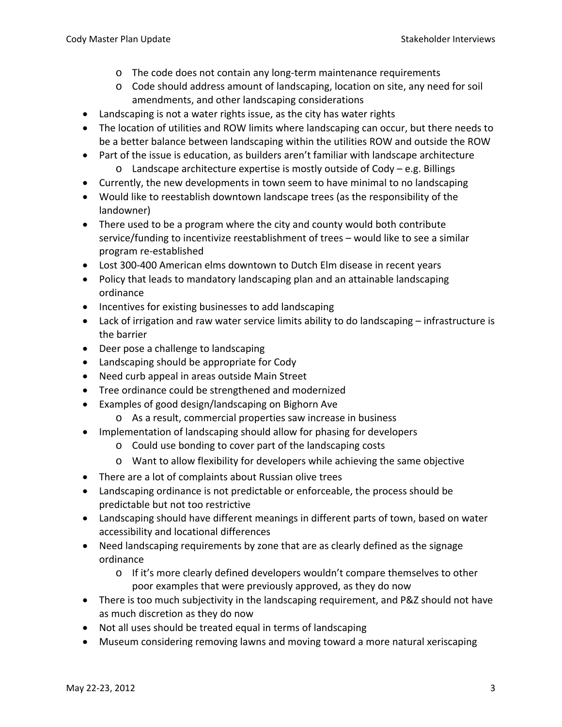- o The code does not contain any long‐term maintenance requirements
- o Code should address amount of landscaping, location on site, any need for soil amendments, and other landscaping considerations
- Landscaping is not a water rights issue, as the city has water rights
- The location of utilities and ROW limits where landscaping can occur, but there needs to be a better balance between landscaping within the utilities ROW and outside the ROW
- Part of the issue is education, as builders aren't familiar with landscape architecture o Landscape architecture expertise is mostly outside of Cody – e.g. Billings
- Currently, the new developments in town seem to have minimal to no landscaping
- Would like to reestablish downtown landscape trees (as the responsibility of the landowner)
- There used to be a program where the city and county would both contribute service/funding to incentivize reestablishment of trees – would like to see a similar program re‐established
- Lost 300-400 American elms downtown to Dutch Elm disease in recent years
- Policy that leads to mandatory landscaping plan and an attainable landscaping ordinance
- Incentives for existing businesses to add landscaping
- Lack of irrigation and raw water service limits ability to do landscaping infrastructure is the barrier
- Deer pose a challenge to landscaping
- Landscaping should be appropriate for Cody
- Need curb appeal in areas outside Main Street
- Tree ordinance could be strengthened and modernized
- Examples of good design/landscaping on Bighorn Ave
	- o As a result, commercial properties saw increase in business
- Implementation of landscaping should allow for phasing for developers
	- o Could use bonding to cover part of the landscaping costs
	- o Want to allow flexibility for developers while achieving the same objective
- There are a lot of complaints about Russian olive trees
- Landscaping ordinance is not predictable or enforceable, the process should be predictable but not too restrictive
- Landscaping should have different meanings in different parts of town, based on water accessibility and locational differences
- Need landscaping requirements by zone that are as clearly defined as the signage ordinance
	- o If it's more clearly defined developers wouldn't compare themselves to other poor examples that were previously approved, as they do now
- There is too much subjectivity in the landscaping requirement, and P&Z should not have as much discretion as they do now
- Not all uses should be treated equal in terms of landscaping
- Museum considering removing lawns and moving toward a more natural xeriscaping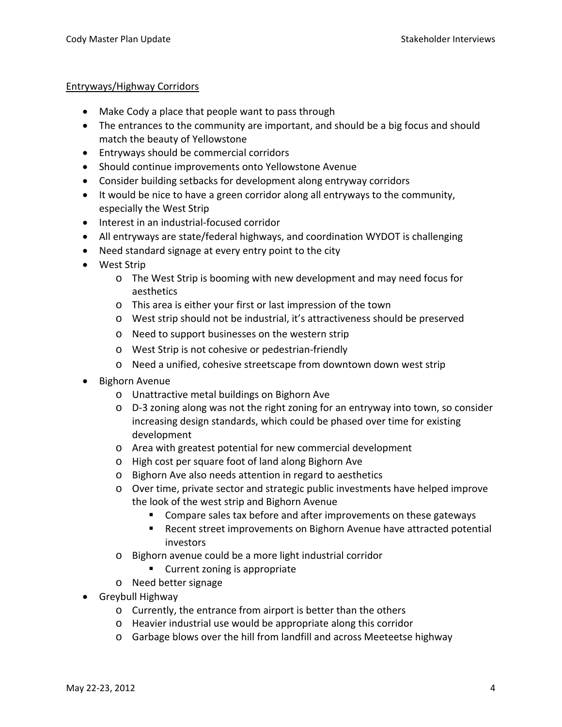#### Entryways/Highway Corridors

- Make Cody a place that people want to pass through
- The entrances to the community are important, and should be a big focus and should match the beauty of Yellowstone
- Entryways should be commercial corridors
- Should continue improvements onto Yellowstone Avenue
- Consider building setbacks for development along entryway corridors
- It would be nice to have a green corridor along all entryways to the community, especially the West Strip
- Interest in an industrial‐focused corridor
- All entryways are state/federal highways, and coordination WYDOT is challenging
- Need standard signage at every entry point to the city
- West Strip
	- o The West Strip is booming with new development and may need focus for aesthetics
	- o This area is either your first or last impression of the town
	- o West strip should not be industrial, it's attractiveness should be preserved
	- o Need to support businesses on the western strip
	- o West Strip is not cohesive or pedestrian‐friendly
	- o Need a unified, cohesive streetscape from downtown down west strip
- Bighorn Avenue
	- o Unattractive metal buildings on Bighorn Ave
	- o D‐3 zoning along was not the right zoning for an entryway into town, so consider increasing design standards, which could be phased over time for existing development
	- o Area with greatest potential for new commercial development
	- o High cost per square foot of land along Bighorn Ave
	- o Bighorn Ave also needs attention in regard to aesthetics
	- o Over time, private sector and strategic public investments have helped improve the look of the west strip and Bighorn Avenue
		- **Compare sales tax before and after improvements on these gateways**
		- Recent street improvements on Bighorn Avenue have attracted potential investors
	- o Bighorn avenue could be a more light industrial corridor
		- Current zoning is appropriate
	- o Need better signage
- Greybull Highway
	- o Currently, the entrance from airport is better than the others
	- o Heavier industrial use would be appropriate along this corridor
	- o Garbage blows over the hill from landfill and across Meeteetse highway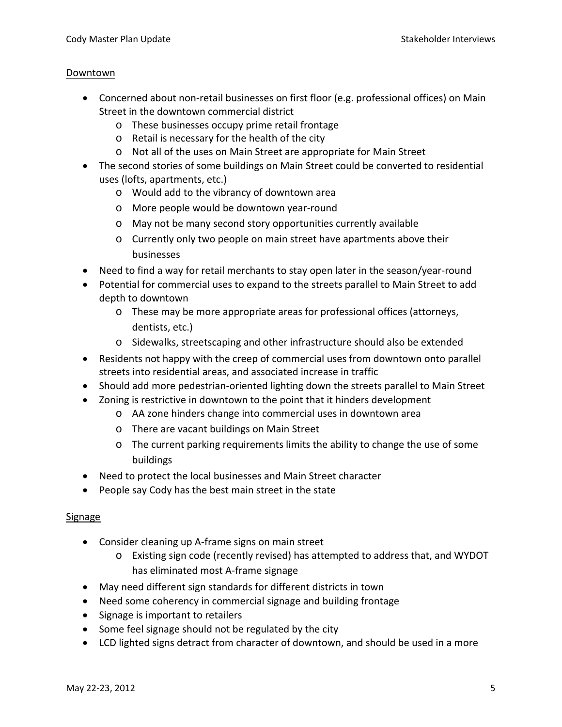#### Downtown

- Concerned about non-retail businesses on first floor (e.g. professional offices) on Main Street in the downtown commercial district
	- o These businesses occupy prime retail frontage
	- o Retail is necessary for the health of the city
	- o Not all of the uses on Main Street are appropriate for Main Street
- The second stories of some buildings on Main Street could be converted to residential uses (lofts, apartments, etc.)
	- o Would add to the vibrancy of downtown area
	- o More people would be downtown year‐round
	- o May not be many second story opportunities currently available
	- o Currently only two people on main street have apartments above their businesses
- Need to find a way for retail merchants to stay open later in the season/year‐round
- Potential for commercial uses to expand to the streets parallel to Main Street to add depth to downtown
	- o These may be more appropriate areas for professional offices (attorneys, dentists, etc.)
	- o Sidewalks, streetscaping and other infrastructure should also be extended
- Residents not happy with the creep of commercial uses from downtown onto parallel streets into residential areas, and associated increase in traffic
- Should add more pedestrian-oriented lighting down the streets parallel to Main Street
- Zoning is restrictive in downtown to the point that it hinders development
	- o AA zone hinders change into commercial uses in downtown area
	- o There are vacant buildings on Main Street
	- o The current parking requirements limits the ability to change the use of some buildings
- Need to protect the local businesses and Main Street character
- People say Cody has the best main street in the state

#### Signage

- Consider cleaning up A‐frame signs on main street
	- o Existing sign code (recently revised) has attempted to address that, and WYDOT has eliminated most A‐frame signage
- May need different sign standards for different districts in town
- Need some coherency in commercial signage and building frontage
- Signage is important to retailers
- Some feel signage should not be regulated by the city
- LCD lighted signs detract from character of downtown, and should be used in a more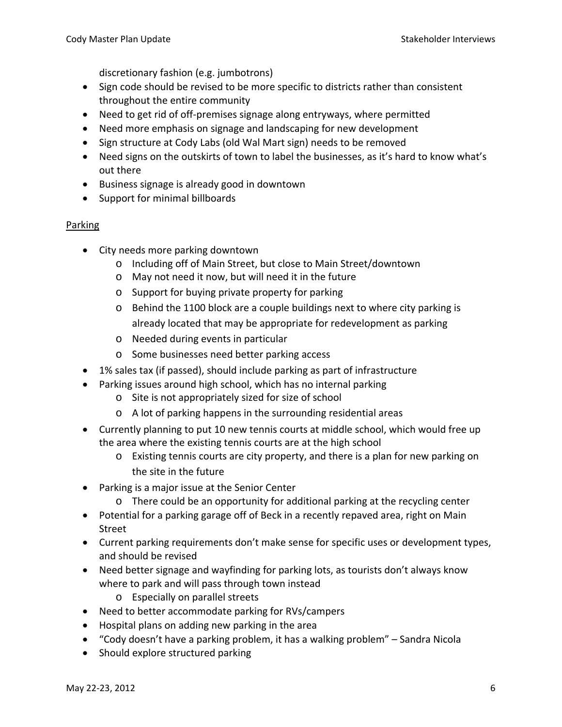discretionary fashion (e.g. jumbotrons)

- Sign code should be revised to be more specific to districts rather than consistent throughout the entire community
- Need to get rid of off-premises signage along entryways, where permitted
- Need more emphasis on signage and landscaping for new development
- Sign structure at Cody Labs (old Wal Mart sign) needs to be removed
- Need signs on the outskirts of town to label the businesses, as it's hard to know what's out there
- Business signage is already good in downtown
- Support for minimal billboards

## Parking

- City needs more parking downtown
	- o Including off of Main Street, but close to Main Street/downtown
	- o May not need it now, but will need it in the future
	- o Support for buying private property for parking
	- o Behind the 1100 block are a couple buildings next to where city parking is already located that may be appropriate for redevelopment as parking
	- o Needed during events in particular
	- o Some businesses need better parking access
- 1% sales tax (if passed), should include parking as part of infrastructure
- Parking issues around high school, which has no internal parking
	- o Site is not appropriately sized for size of school
	- o A lot of parking happens in the surrounding residential areas
- Currently planning to put 10 new tennis courts at middle school, which would free up the area where the existing tennis courts are at the high school
	- o Existing tennis courts are city property, and there is a plan for new parking on the site in the future
- Parking is a major issue at the Senior Center
	- o There could be an opportunity for additional parking at the recycling center
- Potential for a parking garage off of Beck in a recently repaved area, right on Main Street
- Current parking requirements don't make sense for specific uses or development types, and should be revised
- Need better signage and wayfinding for parking lots, as tourists don't always know where to park and will pass through town instead
	- o Especially on parallel streets
- Need to better accommodate parking for RVs/campers
- Hospital plans on adding new parking in the area
- "Cody doesn't have a parking problem, it has a walking problem" Sandra Nicola
- Should explore structured parking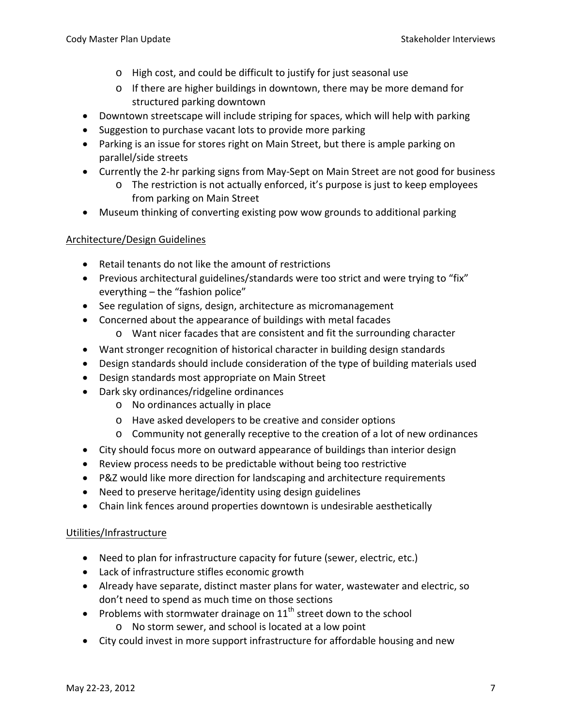- o High cost, and could be difficult to justify for just seasonal use
- $\circ$  If there are higher buildings in downtown, there may be more demand for structured parking downtown
- Downtown streetscape will include striping for spaces, which will help with parking
- Suggestion to purchase vacant lots to provide more parking
- Parking is an issue for stores right on Main Street, but there is ample parking on parallel/side streets
- Currently the 2‐hr parking signs from May‐Sept on Main Street are not good for business
	- o The restriction is not actually enforced, it's purpose is just to keep employees from parking on Main Street
- Museum thinking of converting existing pow wow grounds to additional parking

# Architecture/Design Guidelines

- Retail tenants do not like the amount of restrictions
- Previous architectural guidelines/standards were too strict and were trying to "fix" everything – the "fashion police"
- See regulation of signs, design, architecture as micromanagement
- Concerned about the appearance of buildings with metal facades
	- o Want nicer facades that are consistent and fit the surrounding character
- Want stronger recognition of historical character in building design standards
- Design standards should include consideration of the type of building materials used
- Design standards most appropriate on Main Street
- Dark sky ordinances/ridgeline ordinances
	- o No ordinances actually in place
	- o Have asked developers to be creative and consider options
	- o Community not generally receptive to the creation of a lot of new ordinances
- City should focus more on outward appearance of buildings than interior design
- Review process needs to be predictable without being too restrictive
- P&Z would like more direction for landscaping and architecture requirements
- Need to preserve heritage/identity using design guidelines
- Chain link fences around properties downtown is undesirable aesthetically

# Utilities/Infrastructure

- Need to plan for infrastructure capacity for future (sewer, electric, etc.)
- Lack of infrastructure stifles economic growth
- Already have separate, distinct master plans for water, wastewater and electric, so don't need to spend as much time on those sections
- Problems with stormwater drainage on  $11<sup>th</sup>$  street down to the school
	- o No storm sewer, and school is located at a low point
- City could invest in more support infrastructure for affordable housing and new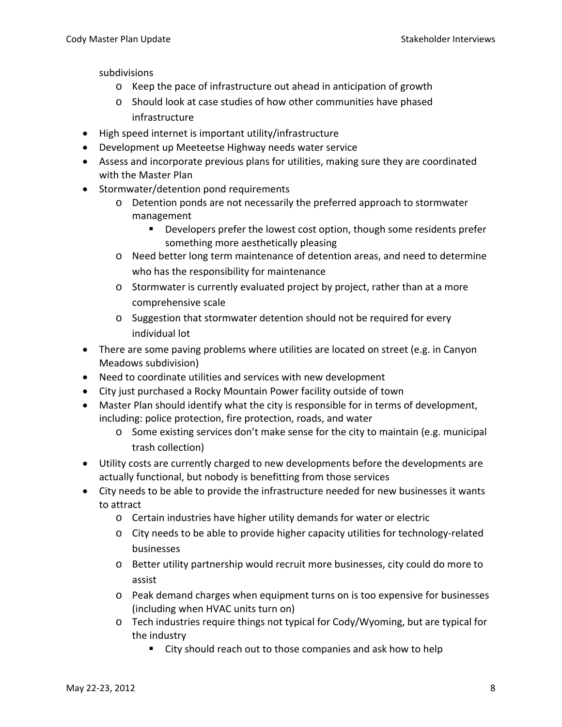subdivisions

- o Keep the pace of infrastructure out ahead in anticipation of growth
- o Should look at case studies of how other communities have phased infrastructure
- High speed internet is important utility/infrastructure
- Development up Meeteetse Highway needs water service
- Assess and incorporate previous plans for utilities, making sure they are coordinated with the Master Plan
- Stormwater/detention pond requirements
	- o Detention ponds are not necessarily the preferred approach to stormwater management
		- **Developers prefer the lowest cost option, though some residents prefer** something more aesthetically pleasing
	- o Need better long term maintenance of detention areas, and need to determine who has the responsibility for maintenance
	- o Stormwater is currently evaluated project by project, rather than at a more comprehensive scale
	- o Suggestion that stormwater detention should not be required for every individual lot
- There are some paving problems where utilities are located on street (e.g. in Canyon Meadows subdivision)
- Need to coordinate utilities and services with new development
- City just purchased a Rocky Mountain Power facility outside of town
- Master Plan should identify what the city is responsible for in terms of development, including: police protection, fire protection, roads, and water
	- o Some existing services don't make sense for the city to maintain (e.g. municipal trash collection)
- Utility costs are currently charged to new developments before the developments are actually functional, but nobody is benefitting from those services
- City needs to be able to provide the infrastructure needed for new businesses it wants to attract
	- o Certain industries have higher utility demands for water or electric
	- o City needs to be able to provide higher capacity utilities for technology‐related businesses
	- o Better utility partnership would recruit more businesses, city could do more to assist
	- o Peak demand charges when equipment turns on is too expensive for businesses (including when HVAC units turn on)
	- $\circ$  Tech industries require things not typical for Cody/Wyoming, but are typical for the industry
		- City should reach out to those companies and ask how to help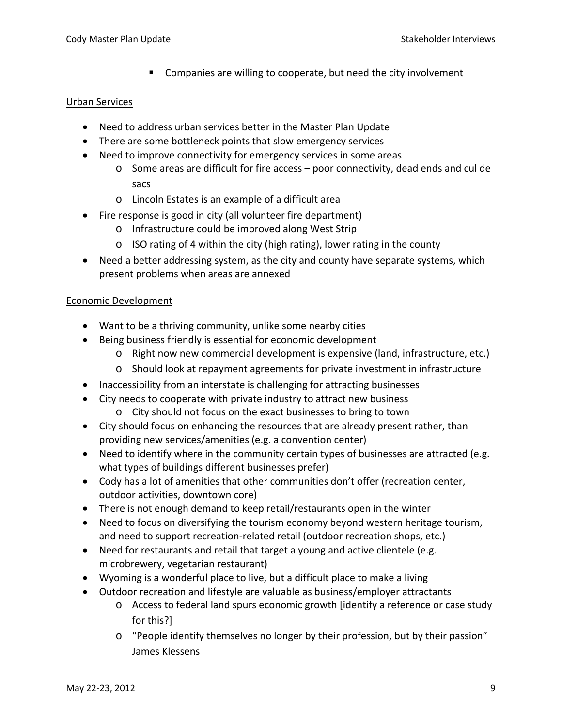**EXTE:** Companies are willing to cooperate, but need the city involvement

#### Urban Services

- Need to address urban services better in the Master Plan Update
- There are some bottleneck points that slow emergency services
- Need to improve connectivity for emergency services in some areas
	- $\circ$  Some areas are difficult for fire access poor connectivity, dead ends and cul de sacs
	- o Lincoln Estates is an example of a difficult area
- Fire response is good in city (all volunteer fire department)
	- o Infrastructure could be improved along West Strip
	- o ISO rating of 4 within the city (high rating), lower rating in the county
- Need a better addressing system, as the city and county have separate systems, which present problems when areas are annexed

## Economic Development

- Want to be a thriving community, unlike some nearby cities
- Being business friendly is essential for economic development
	- o Right now new commercial development is expensive (land, infrastructure, etc.)
	- o Should look at repayment agreements for private investment in infrastructure
- Inaccessibility from an interstate is challenging for attracting businesses
- City needs to cooperate with private industry to attract new business
	- o City should not focus on the exact businesses to bring to town
- City should focus on enhancing the resources that are already present rather, than providing new services/amenities (e.g. a convention center)
- Need to identify where in the community certain types of businesses are attracted (e.g. what types of buildings different businesses prefer)
- Cody has a lot of amenities that other communities don't offer (recreation center, outdoor activities, downtown core)
- There is not enough demand to keep retail/restaurants open in the winter
- Need to focus on diversifying the tourism economy beyond western heritage tourism, and need to support recreation‐related retail (outdoor recreation shops, etc.)
- Need for restaurants and retail that target a young and active clientele (e.g. microbrewery, vegetarian restaurant)
- Wyoming is a wonderful place to live, but a difficult place to make a living
- Outdoor recreation and lifestyle are valuable as business/employer attractants
	- o Access to federal land spurs economic growth [identify a reference or case study for this?]
	- o "People identify themselves no longer by their profession, but by their passion" James Klessens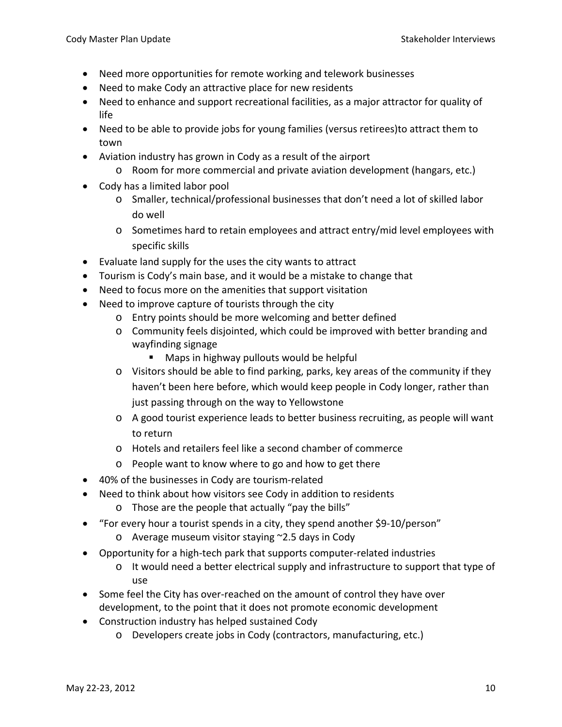- Need more opportunities for remote working and telework businesses
- Need to make Cody an attractive place for new residents
- Need to enhance and support recreational facilities, as a major attractor for quality of life
- Need to be able to provide jobs for young families (versus retirees)to attract them to town
- Aviation industry has grown in Cody as a result of the airport
	- o Room for more commercial and private aviation development (hangars, etc.)
- Cody has a limited labor pool
	- o Smaller, technical/professional businesses that don't need a lot of skilled labor do well
	- o Sometimes hard to retain employees and attract entry/mid level employees with specific skills
- Evaluate land supply for the uses the city wants to attract
- Tourism is Cody's main base, and it would be a mistake to change that
- Need to focus more on the amenities that support visitation
- Need to improve capture of tourists through the city
	- o Entry points should be more welcoming and better defined
	- o Community feels disjointed, which could be improved with better branding and wayfinding signage
		- **Maps in highway pullouts would be helpful**
	- o Visitors should be able to find parking, parks, key areas of the community if they haven't been here before, which would keep people in Cody longer, rather than just passing through on the way to Yellowstone
	- o A good tourist experience leads to better business recruiting, as people will want to return
	- o Hotels and retailers feel like a second chamber of commerce
	- o People want to know where to go and how to get there
- 40% of the businesses in Cody are tourism‐related
- Need to think about how visitors see Cody in addition to residents
	- o Those are the people that actually "pay the bills"
- "For every hour a tourist spends in a city, they spend another \$9-10/person"
	- o Average museum visitor staying ~2.5 days in Cody
- Opportunity for a high‐tech park that supports computer‐related industries
	- $\circ$  It would need a better electrical supply and infrastructure to support that type of use
- Some feel the City has over-reached on the amount of control they have over development, to the point that it does not promote economic development
- Construction industry has helped sustained Cody
	- o Developers create jobs in Cody (contractors, manufacturing, etc.)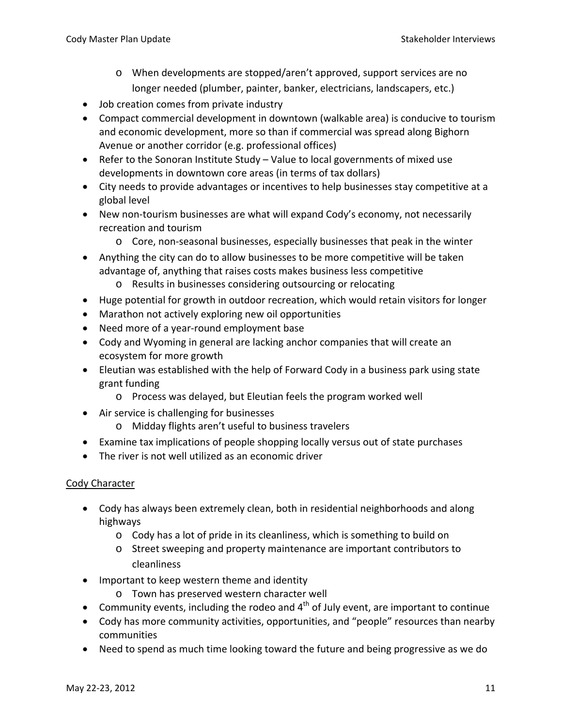- o When developments are stopped/aren't approved, support services are no longer needed (plumber, painter, banker, electricians, landscapers, etc.)
- Job creation comes from private industry
- Compact commercial development in downtown (walkable area) is conducive to tourism and economic development, more so than if commercial was spread along Bighorn Avenue or another corridor (e.g. professional offices)
- Refer to the Sonoran Institute Study Value to local governments of mixed use developments in downtown core areas (in terms of tax dollars)
- City needs to provide advantages or incentives to help businesses stay competitive at a global level
- New non-tourism businesses are what will expand Cody's economy, not necessarily recreation and tourism
	- o Core, non‐seasonal businesses, especially businesses that peak in the winter
- Anything the city can do to allow businesses to be more competitive will be taken advantage of, anything that raises costs makes business less competitive
	- o Results in businesses considering outsourcing or relocating
- Huge potential for growth in outdoor recreation, which would retain visitors for longer
- Marathon not actively exploring new oil opportunities
- Need more of a year‐round employment base
- Cody and Wyoming in general are lacking anchor companies that will create an ecosystem for more growth
- Eleutian was established with the help of Forward Cody in a business park using state grant funding
	- o Process was delayed, but Eleutian feels the program worked well
- Air service is challenging for businesses
	- o Midday flights aren't useful to business travelers
- Examine tax implications of people shopping locally versus out of state purchases
- The river is not well utilized as an economic driver

# Cody Character

- Cody has always been extremely clean, both in residential neighborhoods and along highways
	- o Cody has a lot of pride in its cleanliness, which is something to build on
	- o Street sweeping and property maintenance are important contributors to cleanliness
- Important to keep western theme and identity
	- o Town has preserved western character well
- Community events, including the rodeo and  $4<sup>th</sup>$  of July event, are important to continue
- Cody has more community activities, opportunities, and "people" resources than nearby communities
- Need to spend as much time looking toward the future and being progressive as we do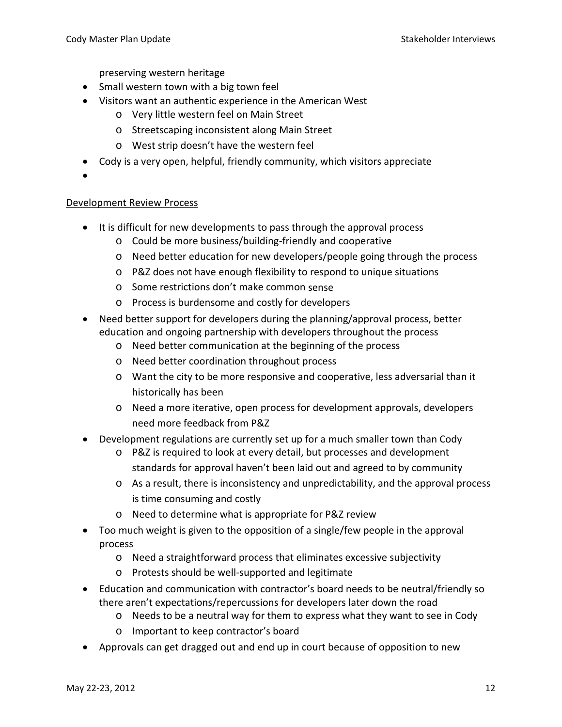preserving western heritage

- Small western town with a big town feel
- Visitors want an authentic experience in the American West
	- o Very little western feel on Main Street
	- o Streetscaping inconsistent along Main Street
	- o West strip doesn't have the western feel
- Cody is a very open, helpful, friendly community, which visitors appreciate
- •

#### Development Review Process

- It is difficult for new developments to pass through the approval process
	- o Could be more business/building‐friendly and cooperative
	- o Need better education for new developers/people going through the process
	- o P&Z does not have enough flexibility to respond to unique situations
	- o Some restrictions don't make common sense
	- o Process is burdensome and costly for developers
- Need better support for developers during the planning/approval process, better education and ongoing partnership with developers throughout the process
	- o Need better communication at the beginning of the process
	- o Need better coordination throughout process
	- o Want the city to be more responsive and cooperative, less adversarial than it historically has been
	- o Need a more iterative, open process for development approvals, developers need more feedback from P&Z
- Development regulations are currently set up for a much smaller town than Cody
	- o P&Z is required to look at every detail, but processes and development standards for approval haven't been laid out and agreed to by community
	- o As a result, there is inconsistency and unpredictability, and the approval process is time consuming and costly
	- o Need to determine what is appropriate for P&Z review
- Too much weight is given to the opposition of a single/few people in the approval process
	- o Need a straightforward process that eliminates excessive subjectivity
	- o Protests should be well‐supported and legitimate
- Education and communication with contractor's board needs to be neutral/friendly so there aren't expectations/repercussions for developers later down the road
	- o Needs to be a neutral way for them to express what they want to see in Cody
	- o Important to keep contractor's board
- Approvals can get dragged out and end up in court because of opposition to new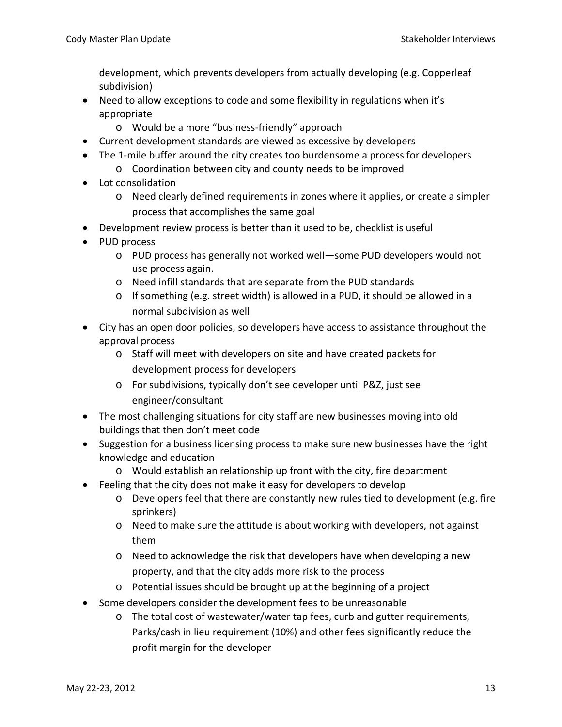development, which prevents developers from actually developing (e.g. Copperleaf subdivision)

- Need to allow exceptions to code and some flexibility in regulations when it's appropriate
	- o Would be a more "business‐friendly" approach
- Current development standards are viewed as excessive by developers
- The 1-mile buffer around the city creates too burdensome a process for developers
	- o Coordination between city and county needs to be improved
- Lot consolidation
	- o Need clearly defined requirements in zones where it applies, or create a simpler process that accomplishes the same goal
- Development review process is better than it used to be, checklist is useful
- PUD process
	- o PUD process has generally not worked well—some PUD developers would not use process again.
	- o Need infill standards that are separate from the PUD standards
	- o If something (e.g. street width) is allowed in a PUD, it should be allowed in a normal subdivision as well
- City has an open door policies, so developers have access to assistance throughout the approval process
	- o Staff will meet with developers on site and have created packets for development process for developers
	- o For subdivisions, typically don't see developer until P&Z, just see engineer/consultant
- The most challenging situations for city staff are new businesses moving into old buildings that then don't meet code
- Suggestion for a business licensing process to make sure new businesses have the right knowledge and education
	- o Would establish an relationship up front with the city, fire department
- Feeling that the city does not make it easy for developers to develop
	- $\circ$  Developers feel that there are constantly new rules tied to development (e.g. fire sprinkers)
	- o Need to make sure the attitude is about working with developers, not against them
	- o Need to acknowledge the risk that developers have when developing a new property, and that the city adds more risk to the process
	- o Potential issues should be brought up at the beginning of a project
- Some developers consider the development fees to be unreasonable
	- o The total cost of wastewater/water tap fees, curb and gutter requirements, Parks/cash in lieu requirement (10%) and other fees significantly reduce the profit margin for the developer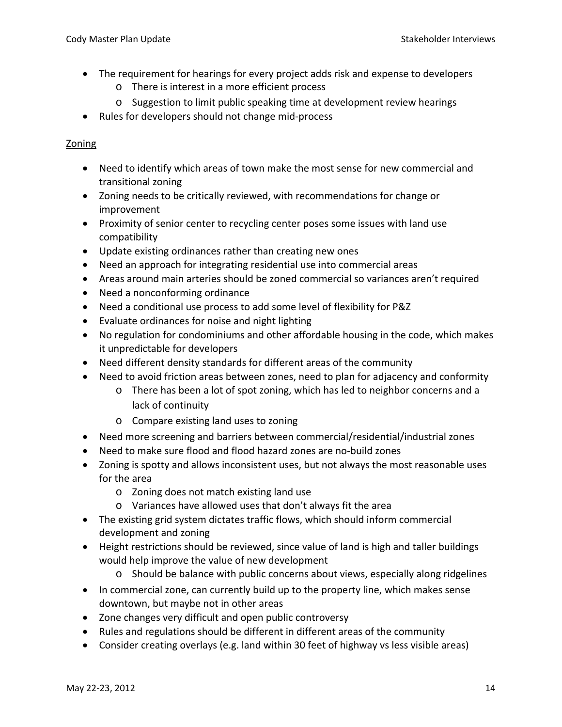- The requirement for hearings for every project adds risk and expense to developers
	- o There is interest in a more efficient process
	- o Suggestion to limit public speaking time at development review hearings
- Rules for developers should not change mid‐process

#### Zoning

- Need to identify which areas of town make the most sense for new commercial and transitional zoning
- Zoning needs to be critically reviewed, with recommendations for change or improvement
- Proximity of senior center to recycling center poses some issues with land use compatibility
- Update existing ordinances rather than creating new ones
- Need an approach for integrating residential use into commercial areas
- Areas around main arteries should be zoned commercial so variances aren't required
- Need a nonconforming ordinance
- Need a conditional use process to add some level of flexibility for P&Z
- Evaluate ordinances for noise and night lighting
- No regulation for condominiums and other affordable housing in the code, which makes it unpredictable for developers
- Need different density standards for different areas of the community
- Need to avoid friction areas between zones, need to plan for adjacency and conformity
	- o There has been a lot of spot zoning, which has led to neighbor concerns and a lack of continuity
	- o Compare existing land uses to zoning
- Need more screening and barriers between commercial/residential/industrial zones
- Need to make sure flood and flood hazard zones are no‐build zones
- Zoning is spotty and allows inconsistent uses, but not always the most reasonable uses for the area
	- o Zoning does not match existing land use
	- o Variances have allowed uses that don't always fit the area
- The existing grid system dictates traffic flows, which should inform commercial development and zoning
- Height restrictions should be reviewed, since value of land is high and taller buildings would help improve the value of new development
	- o Should be balance with public concerns about views, especially along ridgelines
- In commercial zone, can currently build up to the property line, which makes sense downtown, but maybe not in other areas
- Zone changes very difficult and open public controversy
- Rules and regulations should be different in different areas of the community
- Consider creating overlays (e.g. land within 30 feet of highway vs less visible areas)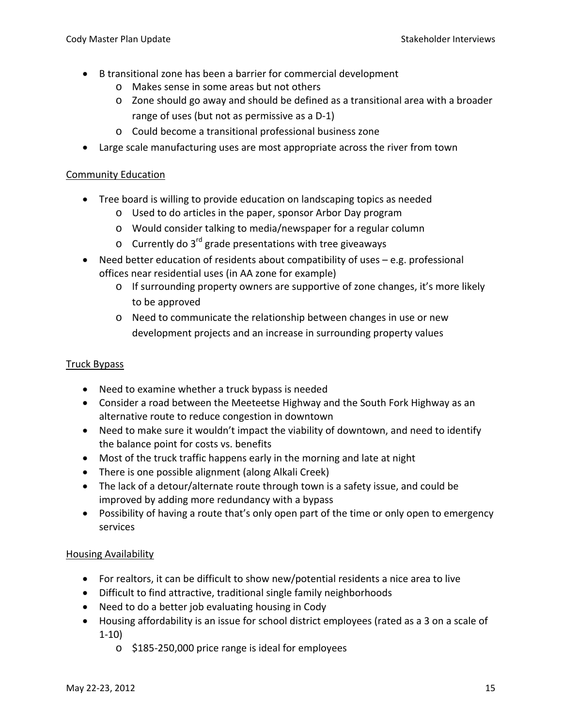- B transitional zone has been a barrier for commercial development
	- o Makes sense in some areas but not others
	- o Zone should go away and should be defined as a transitional area with a broader range of uses (but not as permissive as a D‐1)
	- o Could become a transitional professional business zone
- Large scale manufacturing uses are most appropriate across the river from town

## Community Education

- Tree board is willing to provide education on landscaping topics as needed
	- o Used to do articles in the paper, sponsor Arbor Day program
	- o Would consider talking to media/newspaper for a regular column
	- $\circ$  Currently do 3<sup>rd</sup> grade presentations with tree giveaways
- Need better education of residents about compatibility of uses e.g. professional offices near residential uses (in AA zone for example)
	- o If surrounding property owners are supportive of zone changes, it's more likely to be approved
	- o Need to communicate the relationship between changes in use or new development projects and an increase in surrounding property values

## Truck Bypass

- Need to examine whether a truck bypass is needed
- Consider a road between the Meeteetse Highway and the South Fork Highway as an alternative route to reduce congestion in downtown
- Need to make sure it wouldn't impact the viability of downtown, and need to identify the balance point for costs vs. benefits
- Most of the truck traffic happens early in the morning and late at night
- There is one possible alignment (along Alkali Creek)
- The lack of a detour/alternate route through town is a safety issue, and could be improved by adding more redundancy with a bypass
- Possibility of having a route that's only open part of the time or only open to emergency services

# Housing Availability

- For realtors, it can be difficult to show new/potential residents a nice area to live
- Difficult to find attractive, traditional single family neighborhoods
- Need to do a better job evaluating housing in Cody
- Housing affordability is an issue for school district employees (rated as a 3 on a scale of 1‐10)
	- o \$185‐250,000 price range is ideal for employees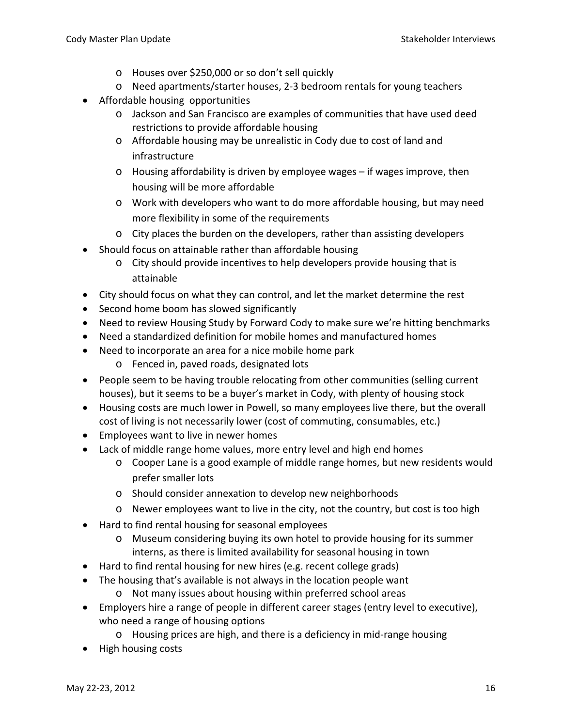- o Houses over \$250,000 or so don't sell quickly
- o Need apartments/starter houses, 2‐3 bedroom rentals for young teachers
- Affordable housing opportunities
	- o Jackson and San Francisco are examples of communities that have used deed restrictions to provide affordable housing
	- o Affordable housing may be unrealistic in Cody due to cost of land and infrastructure
	- o Housing affordability is driven by employee wages if wages improve, then housing will be more affordable
	- o Work with developers who want to do more affordable housing, but may need more flexibility in some of the requirements
	- o City places the burden on the developers, rather than assisting developers
- Should focus on attainable rather than affordable housing
	- o City should provide incentives to help developers provide housing that is attainable
- City should focus on what they can control, and let the market determine the rest
- Second home boom has slowed significantly
- Need to review Housing Study by Forward Cody to make sure we're hitting benchmarks
- Need a standardized definition for mobile homes and manufactured homes
- Need to incorporate an area for a nice mobile home park
	- o Fenced in, paved roads, designated lots
- People seem to be having trouble relocating from other communities (selling current houses), but it seems to be a buyer's market in Cody, with plenty of housing stock
- Housing costs are much lower in Powell, so many employees live there, but the overall cost of living is not necessarily lower (cost of commuting, consumables, etc.)
- Employees want to live in newer homes
- Lack of middle range home values, more entry level and high end homes
	- o Cooper Lane is a good example of middle range homes, but new residents would prefer smaller lots
	- o Should consider annexation to develop new neighborhoods
	- o Newer employees want to live in the city, not the country, but cost is too high
- Hard to find rental housing for seasonal employees
	- o Museum considering buying its own hotel to provide housing for its summer interns, as there is limited availability for seasonal housing in town
- Hard to find rental housing for new hires (e.g. recent college grads)
- The housing that's available is not always in the location people want
	- o Not many issues about housing within preferred school areas
- Employers hire a range of people in different career stages (entry level to executive), who need a range of housing options
	- o Housing prices are high, and there is a deficiency in mid‐range housing
- High housing costs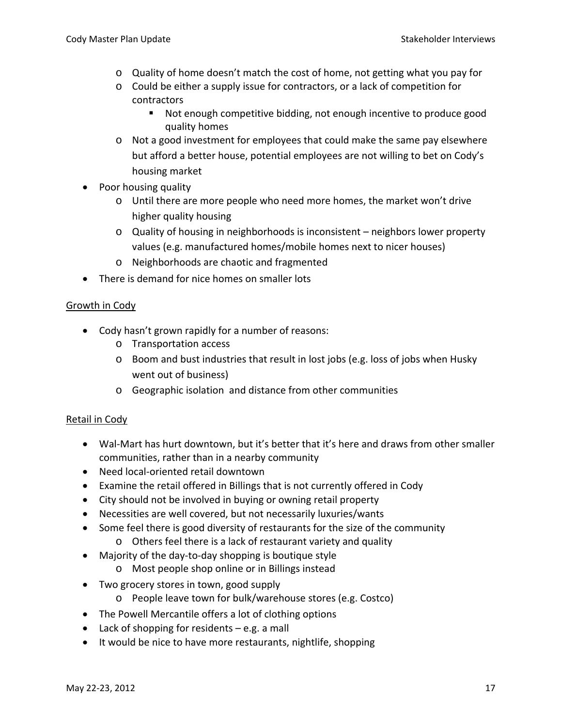- o Quality of home doesn't match the cost of home, not getting what you pay for
- o Could be either a supply issue for contractors, or a lack of competition for contractors
	- Not enough competitive bidding, not enough incentive to produce good quality homes
- o Not a good investment for employees that could make the same pay elsewhere but afford a better house, potential employees are not willing to bet on Cody's housing market
- Poor housing quality
	- o Until there are more people who need more homes, the market won't drive higher quality housing
	- $\circ$  Quality of housing in neighborhoods is inconsistent neighbors lower property values (e.g. manufactured homes/mobile homes next to nicer houses)
	- o Neighborhoods are chaotic and fragmented
- There is demand for nice homes on smaller lots

# Growth in Cody

- Cody hasn't grown rapidly for a number of reasons:
	- o Transportation access
	- $\circ$  Boom and bust industries that result in lost jobs (e.g. loss of jobs when Husky went out of business)
	- o Geographic isolation and distance from other communities

# Retail in Cody

- Wal‐Mart has hurt downtown, but it's better that it's here and draws from other smaller communities, rather than in a nearby community
- Need local‐oriented retail downtown
- Examine the retail offered in Billings that is not currently offered in Cody
- City should not be involved in buying or owning retail property
- Necessities are well covered, but not necessarily luxuries/wants
- Some feel there is good diversity of restaurants for the size of the community
	- o Others feel there is a lack of restaurant variety and quality
- Majority of the day-to-day shopping is boutique style
	- o Most people shop online or in Billings instead
- Two grocery stores in town, good supply
	- o People leave town for bulk/warehouse stores (e.g. Costco)
- The Powell Mercantile offers a lot of clothing options
- Lack of shopping for residents e.g. a mall
- It would be nice to have more restaurants, nightlife, shopping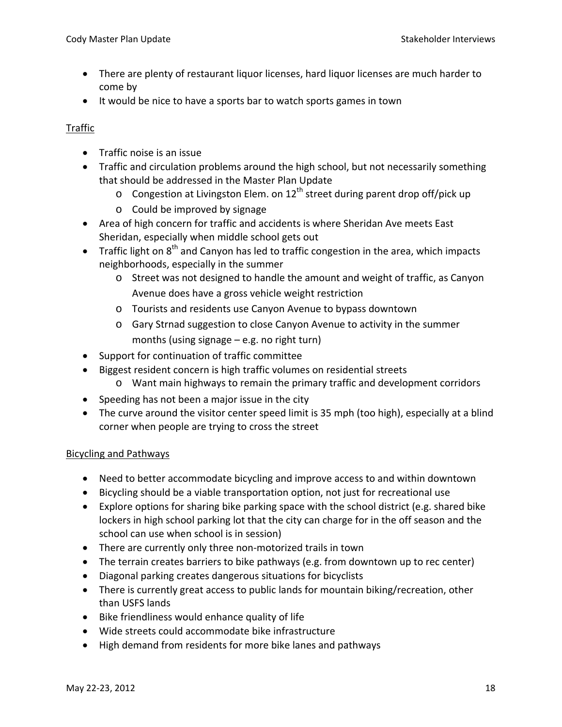- There are plenty of restaurant liquor licenses, hard liquor licenses are much harder to come by
- It would be nice to have a sports bar to watch sports games in town

## Traffic

- Traffic noise is an issue
- Traffic and circulation problems around the high school, but not necessarily something that should be addressed in the Master Plan Update
	- $\circ$  Congestion at Livingston Elem. on 12<sup>th</sup> street during parent drop off/pick up
	- o Could be improved by signage
- Area of high concern for traffic and accidents is where Sheridan Ave meets East Sheridan, especially when middle school gets out
- Traffic light on  $8<sup>th</sup>$  and Canyon has led to traffic congestion in the area, which impacts neighborhoods, especially in the summer
	- o Street was not designed to handle the amount and weight of traffic, as Canyon Avenue does have a gross vehicle weight restriction
	- o Tourists and residents use Canyon Avenue to bypass downtown
	- o Gary Strnad suggestion to close Canyon Avenue to activity in the summer months (using signage – e.g. no right turn)
- Support for continuation of traffic committee
- Biggest resident concern is high traffic volumes on residential streets
	- o Want main highways to remain the primary traffic and development corridors
- Speeding has not been a major issue in the city
- The curve around the visitor center speed limit is 35 mph (too high), especially at a blind corner when people are trying to cross the street

#### Bicycling and Pathways

- Need to better accommodate bicycling and improve access to and within downtown
- Bicycling should be a viable transportation option, not just for recreational use
- Explore options for sharing bike parking space with the school district (e.g. shared bike lockers in high school parking lot that the city can charge for in the off season and the school can use when school is in session)
- There are currently only three non‐motorized trails in town
- The terrain creates barriers to bike pathways (e.g. from downtown up to rec center)
- Diagonal parking creates dangerous situations for bicyclists
- There is currently great access to public lands for mountain biking/recreation, other than USFS lands
- Bike friendliness would enhance quality of life
- Wide streets could accommodate bike infrastructure
- High demand from residents for more bike lanes and pathways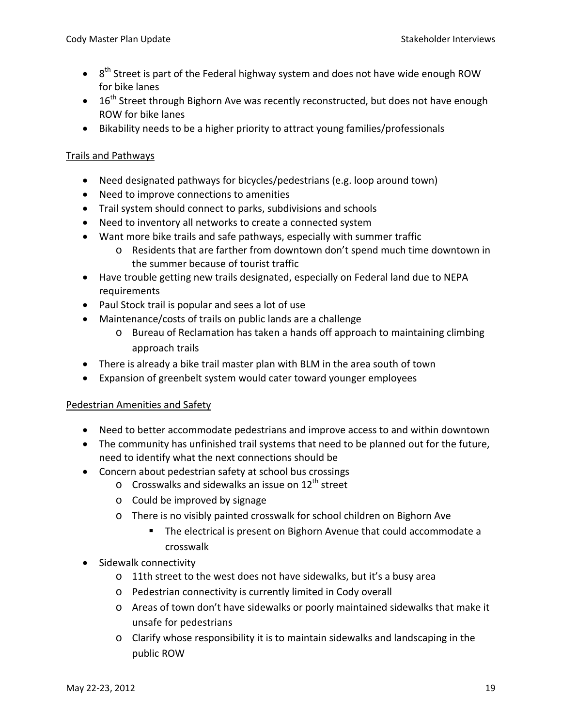- $\bullet$  8<sup>th</sup> Street is part of the Federal highway system and does not have wide enough ROW for bike lanes
- $\bullet$  16<sup>th</sup> Street through Bighorn Ave was recently reconstructed, but does not have enough ROW for bike lanes
- Bikability needs to be a higher priority to attract young families/professionals

## Trails and Pathways

- Need designated pathways for bicycles/pedestrians (e.g. loop around town)
- Need to improve connections to amenities
- Trail system should connect to parks, subdivisions and schools
- Need to inventory all networks to create a connected system
- Want more bike trails and safe pathways, especially with summer traffic
	- o Residents that are farther from downtown don't spend much time downtown in the summer because of tourist traffic
- Have trouble getting new trails designated, especially on Federal land due to NEPA requirements
- Paul Stock trail is popular and sees a lot of use
- Maintenance/costs of trails on public lands are a challenge
	- o Bureau of Reclamation has taken a hands off approach to maintaining climbing approach trails
- There is already a bike trail master plan with BLM in the area south of town
- Expansion of greenbelt system would cater toward younger employees

# Pedestrian Amenities and Safety

- Need to better accommodate pedestrians and improve access to and within downtown
- The community has unfinished trail systems that need to be planned out for the future, need to identify what the next connections should be
- Concern about pedestrian safety at school bus crossings
	- $\circ$  Crosswalks and sidewalks an issue on 12<sup>th</sup> street
	- o Could be improved by signage
	- o There is no visibly painted crosswalk for school children on Bighorn Ave
		- The electrical is present on Bighorn Avenue that could accommodate a crosswalk
- Sidewalk connectivity
	- o 11th street to the west does not have sidewalks, but it's a busy area
	- o Pedestrian connectivity is currently limited in Cody overall
	- o Areas of town don't have sidewalks or poorly maintained sidewalks that make it unsafe for pedestrians
	- o Clarify whose responsibility it is to maintain sidewalks and landscaping in the public ROW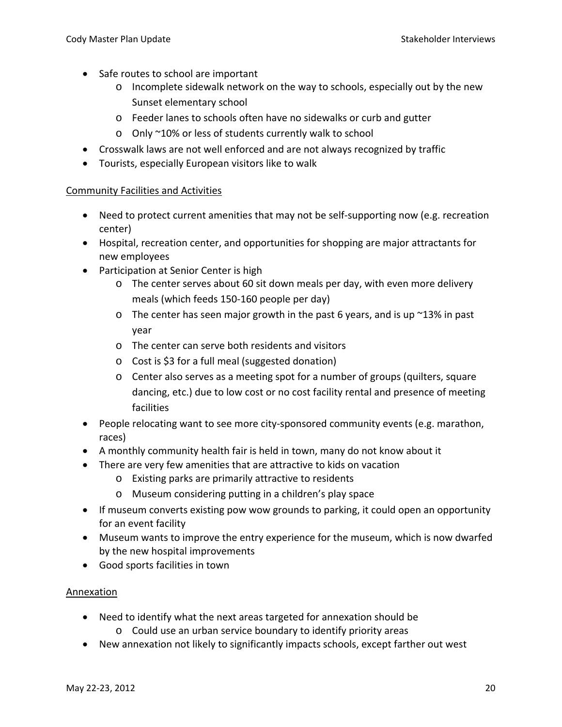- Safe routes to school are important
	- o Incomplete sidewalk network on the way to schools, especially out by the new Sunset elementary school
	- o Feeder lanes to schools often have no sidewalks or curb and gutter
	- o Only ~10% or less of students currently walk to school
- Crosswalk laws are not well enforced and are not always recognized by traffic
- Tourists, especially European visitors like to walk

#### Community Facilities and Activities

- Need to protect current amenities that may not be self-supporting now (e.g. recreation center)
- Hospital, recreation center, and opportunities for shopping are major attractants for new employees
- Participation at Senior Center is high
	- o The center serves about 60 sit down meals per day, with even more delivery meals (which feeds 150‐160 people per day)
	- $\circ$  The center has seen major growth in the past 6 years, and is up  $\sim$ 13% in past year
	- o The center can serve both residents and visitors
	- o Cost is \$3 for a full meal (suggested donation)
	- o Center also serves as a meeting spot for a number of groups (quilters, square dancing, etc.) due to low cost or no cost facility rental and presence of meeting facilities
- People relocating want to see more city‐sponsored community events (e.g. marathon, races)
- A monthly community health fair is held in town, many do not know about it
- There are very few amenities that are attractive to kids on vacation
	- o Existing parks are primarily attractive to residents
	- o Museum considering putting in a children's play space
- If museum converts existing pow wow grounds to parking, it could open an opportunity for an event facility
- Museum wants to improve the entry experience for the museum, which is now dwarfed by the new hospital improvements
- Good sports facilities in town

#### Annexation

- Need to identify what the next areas targeted for annexation should be
	- o Could use an urban service boundary to identify priority areas
- New annexation not likely to significantly impacts schools, except farther out west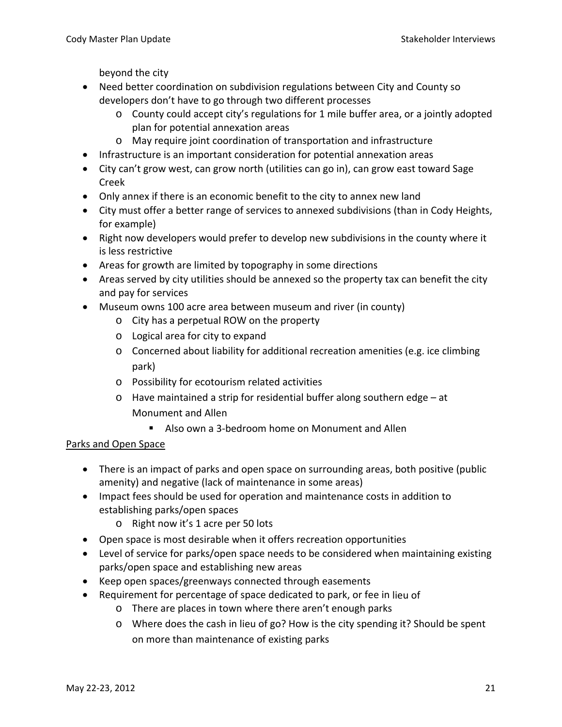beyond the city

- Need better coordination on subdivision regulations between City and County so developers don't have to go through two different processes
	- $\circ$  County could accept city's regulations for 1 mile buffer area, or a jointly adopted plan for potential annexation areas
	- o May require joint coordination of transportation and infrastructure
- Infrastructure is an important consideration for potential annexation areas
- City can't grow west, can grow north (utilities can go in), can grow east toward Sage Creek
- Only annex if there is an economic benefit to the city to annex new land
- City must offer a better range of services to annexed subdivisions (than in Cody Heights, for example)
- Right now developers would prefer to develop new subdivisions in the county where it is less restrictive
- Areas for growth are limited by topography in some directions
- Areas served by city utilities should be annexed so the property tax can benefit the city and pay for services
- Museum owns 100 acre area between museum and river (in county)
	- o City has a perpetual ROW on the property
	- o Logical area for city to expand
	- $\circ$  Concerned about liability for additional recreation amenities (e.g. ice climbing park)
	- o Possibility for ecotourism related activities
	- o Have maintained a strip for residential buffer along southern edge at Monument and Allen
		- Also own a 3-bedroom home on Monument and Allen

# Parks and Open Space

- There is an impact of parks and open space on surrounding areas, both positive (public amenity) and negative (lack of maintenance in some areas)
- Impact fees should be used for operation and maintenance costs in addition to establishing parks/open spaces
	- o Right now it's 1 acre per 50 lots
- Open space is most desirable when it offers recreation opportunities
- Level of service for parks/open space needs to be considered when maintaining existing parks/open space and establishing new areas
- Keep open spaces/greenways connected through easements
- Requirement for percentage of space dedicated to park, or fee in lieu of
	- o There are places in town where there aren't enough parks
	- o Where does the cash in lieu of go? How is the city spending it? Should be spent on more than maintenance of existing parks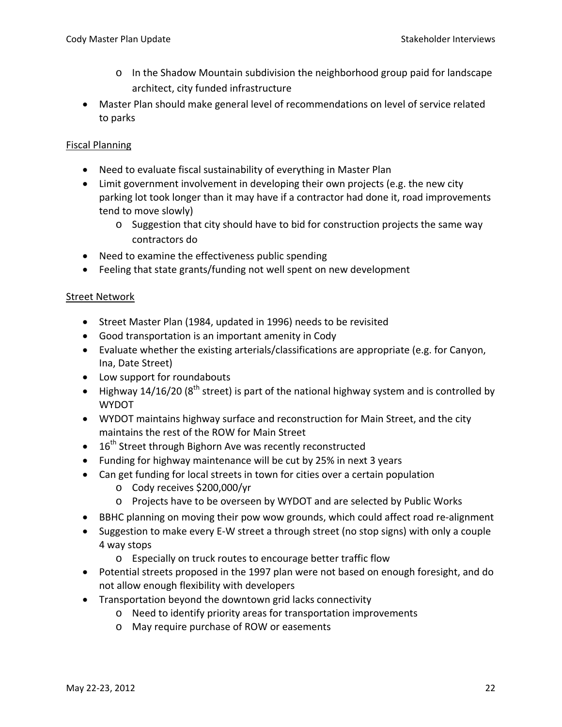- o In the Shadow Mountain subdivision the neighborhood group paid for landscape architect, city funded infrastructure
- Master Plan should make general level of recommendations on level of service related to parks

#### Fiscal Planning

- Need to evaluate fiscal sustainability of everything in Master Plan
- Limit government involvement in developing their own projects (e.g. the new city parking lot took longer than it may have if a contractor had done it, road improvements tend to move slowly)
	- $\circ$  Suggestion that city should have to bid for construction projects the same way contractors do
- Need to examine the effectiveness public spending
- Feeling that state grants/funding not well spent on new development

#### Street Network

- Street Master Plan (1984, updated in 1996) needs to be revisited
- Good transportation is an important amenity in Cody
- Evaluate whether the existing arterials/classifications are appropriate (e.g. for Canyon, Ina, Date Street)
- Low support for roundabouts
- Highway 14/16/20 ( $8<sup>th</sup>$  street) is part of the national highway system and is controlled by WYDOT
- WYDOT maintains highway surface and reconstruction for Main Street, and the city maintains the rest of the ROW for Main Street
- $\bullet$  16<sup>th</sup> Street through Bighorn Ave was recently reconstructed
- Funding for highway maintenance will be cut by 25% in next 3 years
- Can get funding for local streets in town for cities over a certain population
	- o Cody receives \$200,000/yr
	- o Projects have to be overseen by WYDOT and are selected by Public Works
- BBHC planning on moving their pow wow grounds, which could affect road re‐alignment
- Suggestion to make every E‐W street a through street (no stop signs) with only a couple 4 way stops
	- o Especially on truck routes to encourage better traffic flow
- Potential streets proposed in the 1997 plan were not based on enough foresight, and do not allow enough flexibility with developers
- Transportation beyond the downtown grid lacks connectivity
	- o Need to identify priority areas for transportation improvements
	- o May require purchase of ROW or easements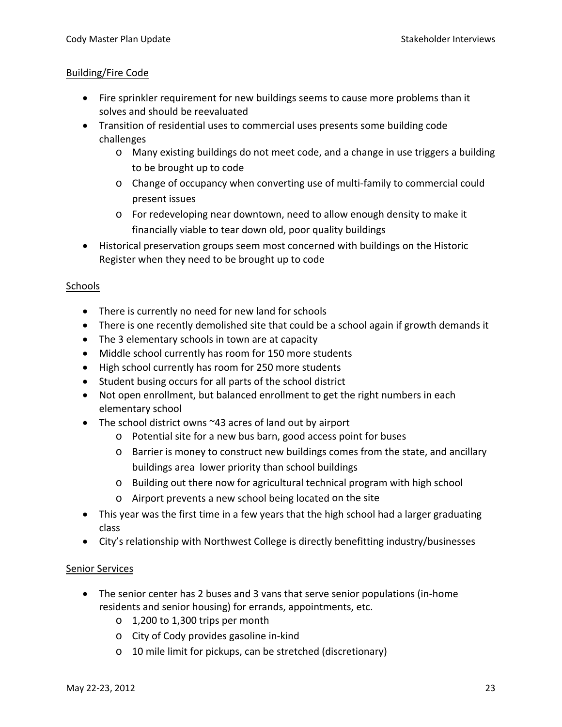## Building/Fire Code

- Fire sprinkler requirement for new buildings seems to cause more problems than it solves and should be reevaluated
- Transition of residential uses to commercial uses presents some building code challenges
	- o Many existing buildings do not meet code, and a change in use triggers a building to be brought up to code
	- o Change of occupancy when converting use of multi‐family to commercial could present issues
	- o For redeveloping near downtown, need to allow enough density to make it financially viable to tear down old, poor quality buildings
- Historical preservation groups seem most concerned with buildings on the Historic Register when they need to be brought up to code

## Schools

- There is currently no need for new land for schools
- There is one recently demolished site that could be a school again if growth demands it
- The 3 elementary schools in town are at capacity
- Middle school currently has room for 150 more students
- High school currently has room for 250 more students
- Student busing occurs for all parts of the school district
- Not open enrollment, but balanced enrollment to get the right numbers in each elementary school
- The school district owns ~43 acres of land out by airport
	- o Potential site for a new bus barn, good access point for buses
	- o Barrier is money to construct new buildings comes from the state, and ancillary buildings area lower priority than school buildings
	- o Building out there now for agricultural technical program with high school
	- o Airport prevents a new school being located on the site
- This year was the first time in a few years that the high school had a larger graduating class
- City's relationship with Northwest College is directly benefitting industry/businesses

# Senior Services

- The senior center has 2 buses and 3 vans that serve senior populations (in‐home residents and senior housing) for errands, appointments, etc.
	- o 1,200 to 1,300 trips per month
	- o City of Cody provides gasoline in‐kind
	- o 10 mile limit for pickups, can be stretched (discretionary)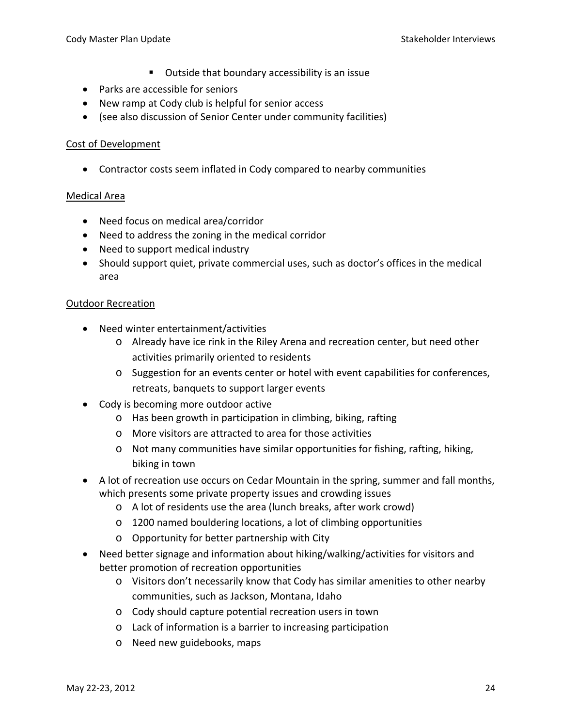- Outside that boundary accessibility is an issue
- Parks are accessible for seniors
- New ramp at Cody club is helpful for senior access
- (see also discussion of Senior Center under community facilities)

## Cost of Development

• Contractor costs seem inflated in Cody compared to nearby communities

## Medical Area

- Need focus on medical area/corridor
- Need to address the zoning in the medical corridor
- Need to support medical industry
- Should support quiet, private commercial uses, such as doctor's offices in the medical area

## Outdoor Recreation

- Need winter entertainment/activities
	- o Already have ice rink in the Riley Arena and recreation center, but need other activities primarily oriented to residents
	- o Suggestion for an events center or hotel with event capabilities for conferences, retreats, banquets to support larger events
- Cody is becoming more outdoor active
	- o Has been growth in participation in climbing, biking, rafting
	- o More visitors are attracted to area for those activities
	- o Not many communities have similar opportunities for fishing, rafting, hiking, biking in town
- A lot of recreation use occurs on Cedar Mountain in the spring, summer and fall months, which presents some private property issues and crowding issues
	- o A lot of residents use the area (lunch breaks, after work crowd)
	- o 1200 named bouldering locations, a lot of climbing opportunities
	- o Opportunity for better partnership with City
- Need better signage and information about hiking/walking/activities for visitors and better promotion of recreation opportunities
	- o Visitors don't necessarily know that Cody has similar amenities to other nearby communities, such as Jackson, Montana, Idaho
	- o Cody should capture potential recreation users in town
	- o Lack of information is a barrier to increasing participation
	- o Need new guidebooks, maps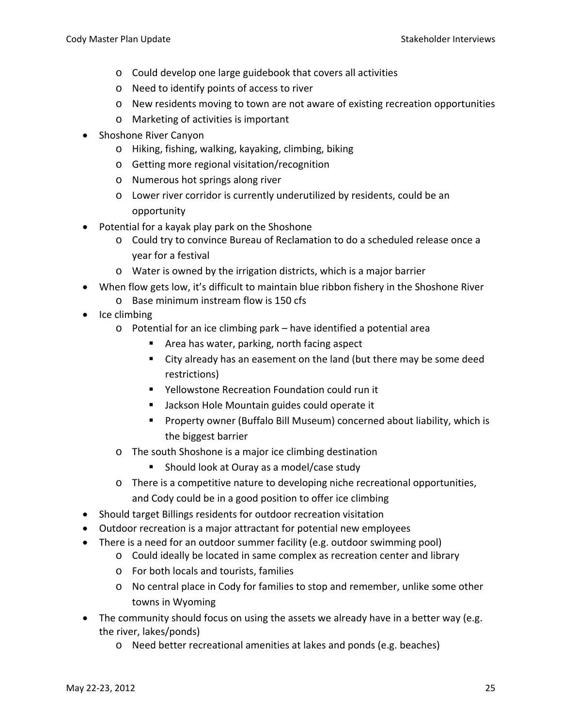- o Could develop one large guidebook that covers all activities
- o Need to identify points of access to river
- $\circ$  New residents moving to town are not aware of existing recreation opportunities
- o Marketing of activities is important
- Shoshone River Canyon
	- o Hiking, fishing, walking, kayaking, climbing, biking
	- o Getting more regional visitation/recognition
	- o Numerous hot springs along river
	- o Lower river corridor is currently underutilized by residents, could be an opportunity
- Potential for a kayak play park on the Shoshone
	- o Could try to convince Bureau of Reclamation to do a scheduled release once a year for a festival
	- o Water is owned by the irrigation districts, which is a major barrier
- When flow gets low, it's difficult to maintain blue ribbon fishery in the Shoshone River o Base minimum instream flow is 150 cfs
- Ice climbing
	- o Potential for an ice climbing park have identified a potential area
		- Area has water, parking, north facing aspect
		- City already has an easement on the land (but there may be some deed restrictions)
		- Yellowstone Recreation Foundation could run it
		- Jackson Hole Mountain guides could operate it
		- Property owner (Buffalo Bill Museum) concerned about liability, which is the biggest barrier
	- o The south Shoshone is a major ice climbing destination
		- Should look at Ouray as a model/case study
	- o There is a competitive nature to developing niche recreational opportunities, and Cody could be in a good position to offer ice climbing
- Should target Billings residents for outdoor recreation visitation
- Outdoor recreation is a major attractant for potential new employees
- There is a need for an outdoor summer facility (e.g. outdoor swimming pool)
	- o Could ideally be located in same complex as recreation center and library
	- o For both locals and tourists, families
	- o No central place in Cody for families to stop and remember, unlike some other towns in Wyoming
- The community should focus on using the assets we already have in a better way (e.g. the river, lakes/ponds)
	- o Need better recreational amenities at lakes and ponds (e.g. beaches)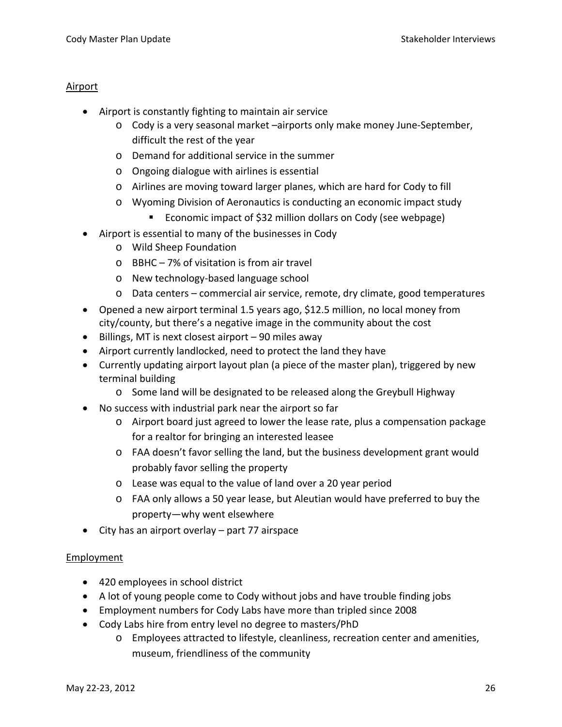## Airport

- Airport is constantly fighting to maintain air service
	- o Cody is a very seasonal market –airports only make money June‐September, difficult the rest of the year
	- o Demand for additional service in the summer
	- o Ongoing dialogue with airlines is essential
	- o Airlines are moving toward larger planes, which are hard for Cody to fill
	- o Wyoming Division of Aeronautics is conducting an economic impact study
		- Economic impact of \$32 million dollars on Cody (see webpage)
- Airport is essential to many of the businesses in Cody
	- o Wild Sheep Foundation
	- o BBHC 7% of visitation is from air travel
	- o New technology‐based language school
	- o Data centers commercial air service, remote, dry climate, good temperatures
- Opened a new airport terminal 1.5 years ago, \$12.5 million, no local money from city/county, but there's a negative image in the community about the cost
- Billings, MT is next closest airport 90 miles away
- Airport currently landlocked, need to protect the land they have
- Currently updating airport layout plan (a piece of the master plan), triggered by new terminal building
	- o Some land will be designated to be released along the Greybull Highway
- No success with industrial park near the airport so far
	- o Airport board just agreed to lower the lease rate, plus a compensation package for a realtor for bringing an interested leasee
	- o FAA doesn't favor selling the land, but the business development grant would probably favor selling the property
	- o Lease was equal to the value of land over a 20 year period
	- o FAA only allows a 50 year lease, but Aleutian would have preferred to buy the property—why went elsewhere
- City has an airport overlay part 77 airspace

# Employment

- 420 employees in school district
- A lot of young people come to Cody without jobs and have trouble finding jobs
- Employment numbers for Cody Labs have more than tripled since 2008
- Cody Labs hire from entry level no degree to masters/PhD
	- o Employees attracted to lifestyle, cleanliness, recreation center and amenities, museum, friendliness of the community